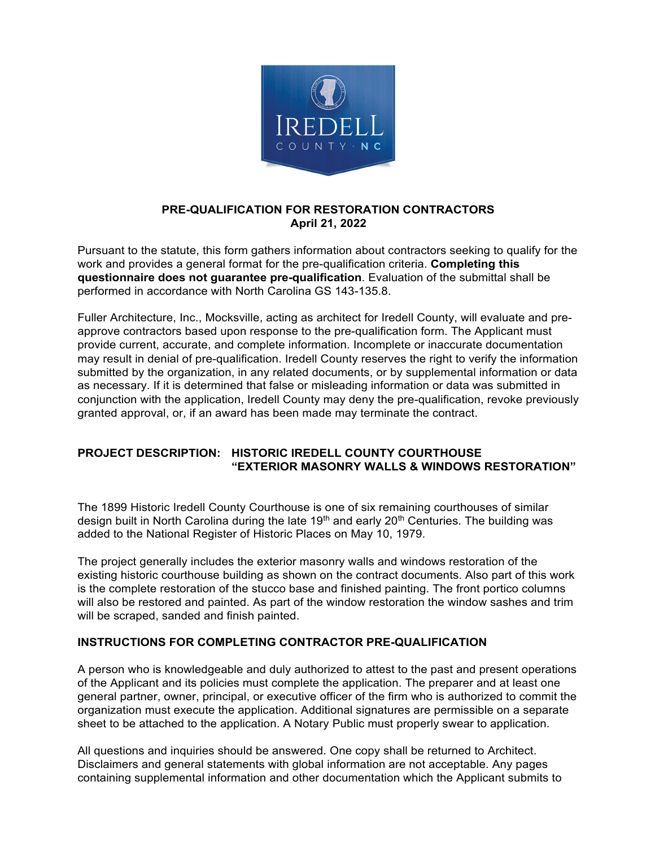

# **PRE-QUALIFICATION FOR RESTORATION CONTRACTORS April 21, 2022**

Pursuant to the statute, this form gathers information about contractors seeking to qualify for the work and provides a general format for the pre-qualification criteria. **Completing this questionnaire does not guarantee pre-qualification**. Evaluation of the submittal shall be performed in accordance with North Carolina GS 143-135.8.

Fuller Architecture, Inc., Mocksville, acting as architect for Iredell County, will evaluate and preapprove contractors based upon response to the pre-qualification form. The Applicant must provide current, accurate, and complete information. Incomplete or inaccurate documentation may result in denial of pre-qualification. Iredell County reserves the right to verify the information submitted by the organization, in any related documents, or by supplemental information or data as necessary. If it is determined that false or misleading information or data was submitted in conjunction with the application, Iredell County may deny the pre-qualification, revoke previously granted approval, or, if an award has been made may terminate the contract.

# **PROJECT DESCRIPTION: HISTORIC IREDELL COUNTY COURTHOUSE "EXTERIOR MASONRY WALLS & WINDOWS RESTORATION"**

The 1899 Historic Iredell County Courthouse is one of six remaining courthouses of similar design built in North Carolina during the late  $19<sup>th</sup>$  and early  $20<sup>th</sup>$  Centuries. The building was added to the National Register of Historic Places on May 10, 1979.

The project generally includes the exterior masonry walls and windows restoration of the existing historic courthouse building as shown on the contract documents. Also part of this work is the complete restoration of the stucco base and finished painting. The front portico columns will also be restored and painted. As part of the window restoration the window sashes and trim will be scraped, sanded and finish painted.

### **INSTRUCTIONS FOR COMPLETING CONTRACTOR PRE-QUALIFICATION**

A person who is knowledgeable and duly authorized to attest to the past and present operations of the Applicant and its policies must complete the application. The preparer and at least one general partner, owner, principal, or executive officer of the firm who is authorized to commit the organization must execute the application. Additional signatures are permissible on a separate sheet to be attached to the application. A Notary Public must properly swear to application.

All questions and inquiries should be answered. One copy shall be returned to Architect. Disclaimers and general statements with global information are not acceptable. Any pages containing supplemental information and other documentation which the Applicant submits to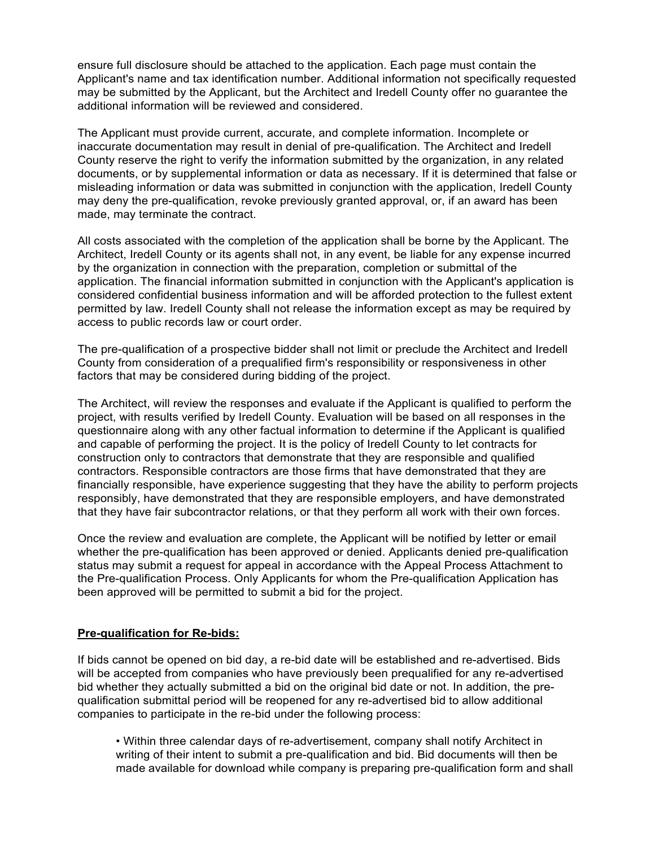ensure full disclosure should be attached to the application. Each page must contain the Applicant's name and tax identification number. Additional information not specifically requested may be submitted by the Applicant, but the Architect and Iredell County offer no guarantee the additional information will be reviewed and considered.

The Applicant must provide current, accurate, and complete information. Incomplete or inaccurate documentation may result in denial of pre-qualification. The Architect and Iredell County reserve the right to verify the information submitted by the organization, in any related documents, or by supplemental information or data as necessary. If it is determined that false or misleading information or data was submitted in conjunction with the application, Iredell County may deny the pre-qualification, revoke previously granted approval, or, if an award has been made, may terminate the contract.

All costs associated with the completion of the application shall be borne by the Applicant. The Architect, Iredell County or its agents shall not, in any event, be liable for any expense incurred by the organization in connection with the preparation, completion or submittal of the application. The financial information submitted in conjunction with the Applicant's application is considered confidential business information and will be afforded protection to the fullest extent permitted by law. Iredell County shall not release the information except as may be required by access to public records law or court order.

The pre-qualification of a prospective bidder shall not limit or preclude the Architect and Iredell County from consideration of a prequalified firm's responsibility or responsiveness in other factors that may be considered during bidding of the project.

The Architect, will review the responses and evaluate if the Applicant is qualified to perform the project, with results verified by Iredell County. Evaluation will be based on all responses in the questionnaire along with any other factual information to determine if the Applicant is qualified and capable of performing the project. It is the policy of Iredell County to let contracts for construction only to contractors that demonstrate that they are responsible and qualified contractors. Responsible contractors are those firms that have demonstrated that they are financially responsible, have experience suggesting that they have the ability to perform projects responsibly, have demonstrated that they are responsible employers, and have demonstrated that they have fair subcontractor relations, or that they perform all work with their own forces.

Once the review and evaluation are complete, the Applicant will be notified by letter or email whether the pre-qualification has been approved or denied. Applicants denied pre-qualification status may submit a request for appeal in accordance with the Appeal Process Attachment to the Pre-qualification Process. Only Applicants for whom the Pre-qualification Application has been approved will be permitted to submit a bid for the project.

### **Pre-qualification for Re-bids:**

If bids cannot be opened on bid day, a re-bid date will be established and re-advertised. Bids will be accepted from companies who have previously been prequalified for any re-advertised bid whether they actually submitted a bid on the original bid date or not. In addition, the prequalification submittal period will be reopened for any re-advertised bid to allow additional companies to participate in the re-bid under the following process:

• Within three calendar days of re-advertisement, company shall notify Architect in writing of their intent to submit a pre-qualification and bid. Bid documents will then be made available for download while company is preparing pre-qualification form and shall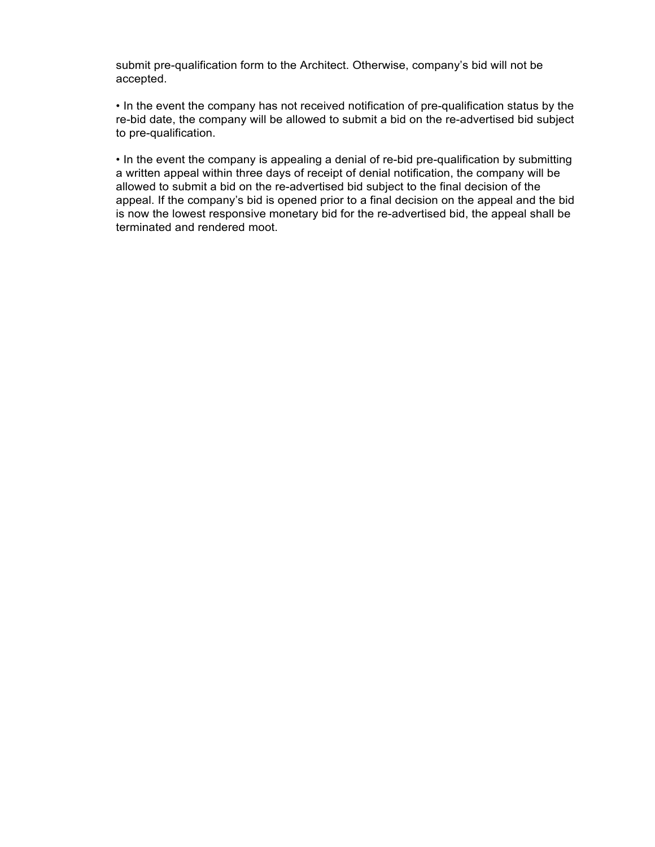submit pre-qualification form to the Architect. Otherwise, company's bid will not be accepted.

• In the event the company has not received notification of pre-qualification status by the re-bid date, the company will be allowed to submit a bid on the re-advertised bid subject to pre-qualification.

• In the event the company is appealing a denial of re-bid pre-qualification by submitting a written appeal within three days of receipt of denial notification, the company will be allowed to submit a bid on the re-advertised bid subject to the final decision of the appeal. If the company's bid is opened prior to a final decision on the appeal and the bid is now the lowest responsive monetary bid for the re-advertised bid, the appeal shall be terminated and rendered moot.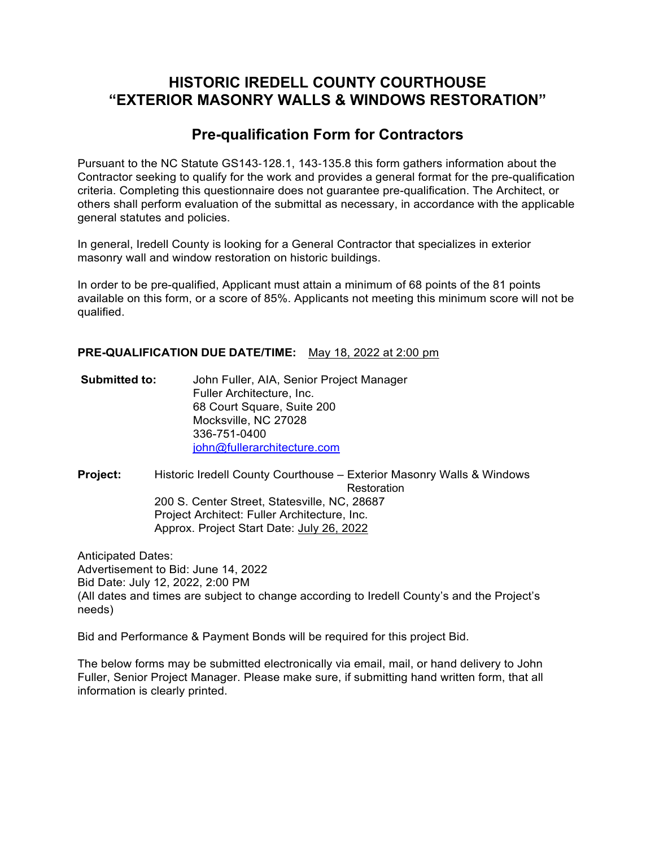# **HISTORIC IREDELL COUNTY COURTHOUSE "EXTERIOR MASONRY WALLS & WINDOWS RESTORATION"**

# **Pre-qualification Form for Contractors**

Pursuant to the NC Statute GS143-128.1, 143-135.8 this form gathers information about the Contractor seeking to qualify for the work and provides a general format for the pre-qualification criteria. Completing this questionnaire does not guarantee pre-qualification. The Architect, or others shall perform evaluation of the submittal as necessary, in accordance with the applicable general statutes and policies.

In general, Iredell County is looking for a General Contractor that specializes in exterior masonry wall and window restoration on historic buildings.

In order to be pre-qualified, Applicant must attain a minimum of 68 points of the 81 points available on this form, or a score of 85%. Applicants not meeting this minimum score will not be qualified.

### **PRE-QUALIFICATION DUE DATE/TIME:** May 18, 2022 at 2:00 pm

**Submitted to:** John Fuller, AIA, Senior Project Manager Fuller Architecture, Inc. 68 Court Square, Suite 200 Mocksville, NC 27028 336-751-0400 john@fullerarchitecture.com

**Project:** Historic Iredell County Courthouse – Exterior Masonry Walls & Windows **Restoration** 200 S. Center Street, Statesville, NC, 28687 Project Architect: Fuller Architecture, Inc. Approx. Project Start Date: July 26, 2022

Anticipated Dates: Advertisement to Bid: June 14, 2022 Bid Date: July 12, 2022, 2:00 PM (All dates and times are subject to change according to Iredell County's and the Project's needs)

Bid and Performance & Payment Bonds will be required for this project Bid.

The below forms may be submitted electronically via email, mail, or hand delivery to John Fuller, Senior Project Manager. Please make sure, if submitting hand written form, that all information is clearly printed.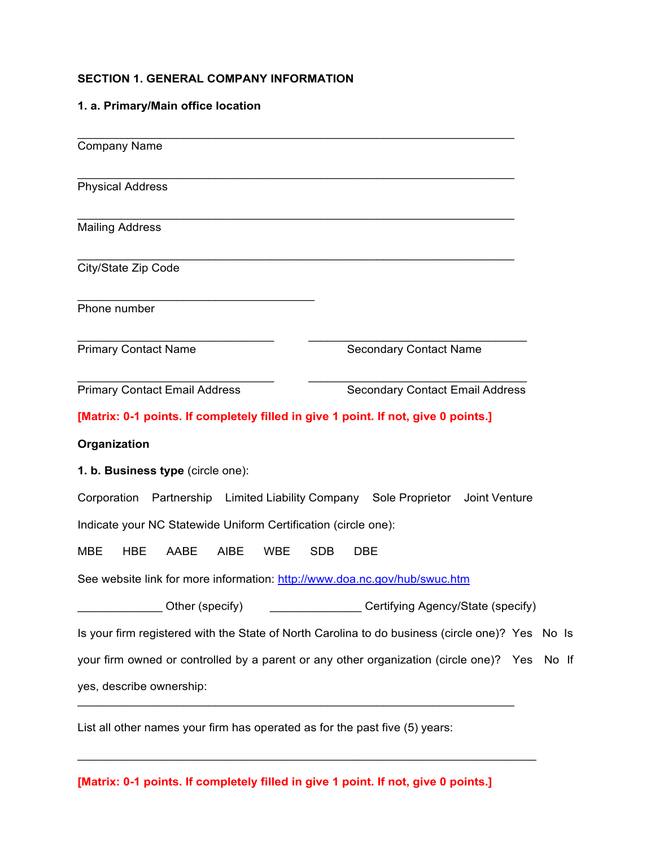# **SECTION 1. GENERAL COMPANY INFORMATION**

# **1. a. Primary/Main office location**

| <b>Company Name</b>                                                                |                                                                                                 |
|------------------------------------------------------------------------------------|-------------------------------------------------------------------------------------------------|
| <b>Physical Address</b>                                                            |                                                                                                 |
| <b>Mailing Address</b>                                                             |                                                                                                 |
| City/State Zip Code                                                                |                                                                                                 |
| Phone number                                                                       |                                                                                                 |
| <b>Primary Contact Name</b>                                                        | <b>Secondary Contact Name</b>                                                                   |
| <b>Primary Contact Email Address</b>                                               | <b>Secondary Contact Email Address</b>                                                          |
| [Matrix: 0-1 points. If completely filled in give 1 point. If not, give 0 points.] |                                                                                                 |
| Organization                                                                       |                                                                                                 |
| 1. b. Business type (circle one):                                                  |                                                                                                 |
| Corporation Partnership Limited Liability Company Sole Proprietor                  | Joint Venture                                                                                   |
| Indicate your NC Statewide Uniform Certification (circle one):                     |                                                                                                 |
| <b>HBE</b><br>AABE<br><b>AIBE</b><br><b>MBE</b><br><b>WBE</b>                      | <b>SDB</b><br><b>DBE</b>                                                                        |
| See website link for more information: http://www.doa.nc.gov/hub/swuc.htm          |                                                                                                 |
| Other (specify)                                                                    | Certifying Agency/State (specify)                                                               |
|                                                                                    |                                                                                                 |
|                                                                                    | Is your firm registered with the State of North Carolina to do business (circle one)? Yes No Is |
|                                                                                    | your firm owned or controlled by a parent or any other organization (circle one)? Yes No If     |
| yes, describe ownership:                                                           |                                                                                                 |
|                                                                                    |                                                                                                 |

List all other names your firm has operated as for the past five (5) years:

**[Matrix: 0-1 points. If completely filled in give 1 point. If not, give 0 points.]**

 $\mathcal{L}_\text{max}$  , and the contract of the contract of the contract of the contract of the contract of the contract of the contract of the contract of the contract of the contract of the contract of the contract of the contr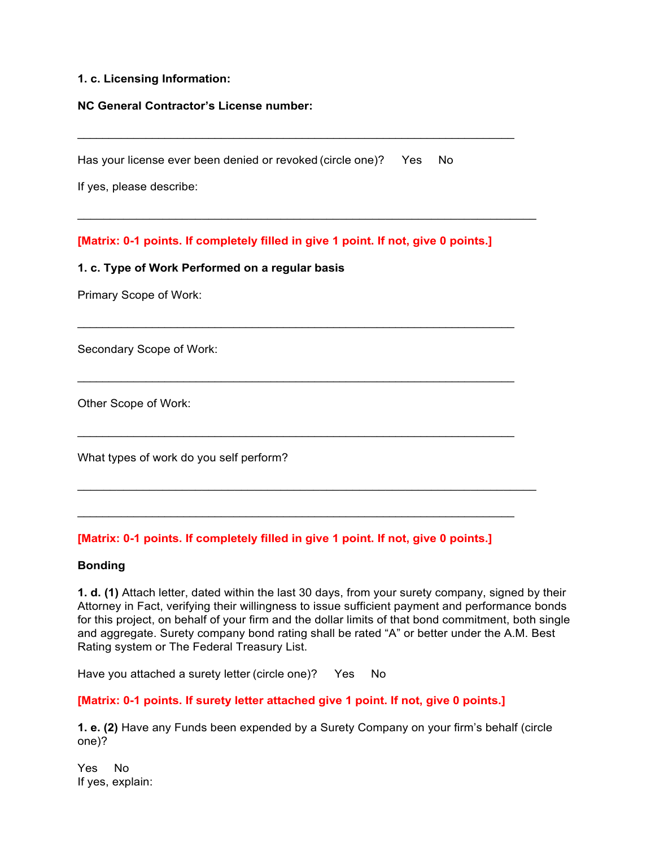### **1. c. Licensing Information:**

### **NC General Contractor's License number:**

Has your license ever been denied or revoked (circle one)? Yes No

If yes, please describe:

**[Matrix: 0-1 points. If completely filled in give 1 point. If not, give 0 points.]**

 $\mathcal{L}_\mathcal{L} = \mathcal{L}_\mathcal{L} = \mathcal{L}_\mathcal{L} = \mathcal{L}_\mathcal{L} = \mathcal{L}_\mathcal{L} = \mathcal{L}_\mathcal{L} = \mathcal{L}_\mathcal{L} = \mathcal{L}_\mathcal{L} = \mathcal{L}_\mathcal{L} = \mathcal{L}_\mathcal{L} = \mathcal{L}_\mathcal{L} = \mathcal{L}_\mathcal{L} = \mathcal{L}_\mathcal{L} = \mathcal{L}_\mathcal{L} = \mathcal{L}_\mathcal{L} = \mathcal{L}_\mathcal{L} = \mathcal{L}_\mathcal{L}$ 

 $\mathcal{L}_\mathcal{L} = \mathcal{L}_\mathcal{L} = \mathcal{L}_\mathcal{L} = \mathcal{L}_\mathcal{L} = \mathcal{L}_\mathcal{L} = \mathcal{L}_\mathcal{L} = \mathcal{L}_\mathcal{L} = \mathcal{L}_\mathcal{L} = \mathcal{L}_\mathcal{L} = \mathcal{L}_\mathcal{L} = \mathcal{L}_\mathcal{L} = \mathcal{L}_\mathcal{L} = \mathcal{L}_\mathcal{L} = \mathcal{L}_\mathcal{L} = \mathcal{L}_\mathcal{L} = \mathcal{L}_\mathcal{L} = \mathcal{L}_\mathcal{L}$ 

 $\mathcal{L}_\mathcal{L} = \mathcal{L}_\mathcal{L} = \mathcal{L}_\mathcal{L} = \mathcal{L}_\mathcal{L} = \mathcal{L}_\mathcal{L} = \mathcal{L}_\mathcal{L} = \mathcal{L}_\mathcal{L} = \mathcal{L}_\mathcal{L} = \mathcal{L}_\mathcal{L} = \mathcal{L}_\mathcal{L} = \mathcal{L}_\mathcal{L} = \mathcal{L}_\mathcal{L} = \mathcal{L}_\mathcal{L} = \mathcal{L}_\mathcal{L} = \mathcal{L}_\mathcal{L} = \mathcal{L}_\mathcal{L} = \mathcal{L}_\mathcal{L}$ 

 $\mathcal{L}_\text{max}$  , and the contract of the contract of the contract of the contract of the contract of the contract of the contract of the contract of the contract of the contract of the contract of the contract of the contr

 $\mathcal{L}_\mathcal{L} = \mathcal{L}_\mathcal{L} = \mathcal{L}_\mathcal{L} = \mathcal{L}_\mathcal{L} = \mathcal{L}_\mathcal{L} = \mathcal{L}_\mathcal{L} = \mathcal{L}_\mathcal{L} = \mathcal{L}_\mathcal{L} = \mathcal{L}_\mathcal{L} = \mathcal{L}_\mathcal{L} = \mathcal{L}_\mathcal{L} = \mathcal{L}_\mathcal{L} = \mathcal{L}_\mathcal{L} = \mathcal{L}_\mathcal{L} = \mathcal{L}_\mathcal{L} = \mathcal{L}_\mathcal{L} = \mathcal{L}_\mathcal{L}$ 

### **1. c. Type of Work Performed on a regular basis**

Primary Scope of Work:

Secondary Scope of Work:

Other Scope of Work:

What types of work do you self perform?

### **[Matrix: 0-1 points. If completely filled in give 1 point. If not, give 0 points.]**

#### **Bonding**

**1. d. (1)** Attach letter, dated within the last 30 days, from your surety company, signed by their Attorney in Fact, verifying their willingness to issue sufficient payment and performance bonds for this project, on behalf of your firm and the dollar limits of that bond commitment, both single and aggregate. Surety company bond rating shall be rated "A" or better under the A.M. Best Rating system or The Federal Treasury List.

Have you attached a surety letter (circle one)? Yes No

### **[Matrix: 0-1 points. If surety letter attached give 1 point. If not, give 0 points.]**

**1. e. (2)** Have any Funds been expended by a Surety Company on your firm's behalf (circle one)?

Yes No If yes, explain: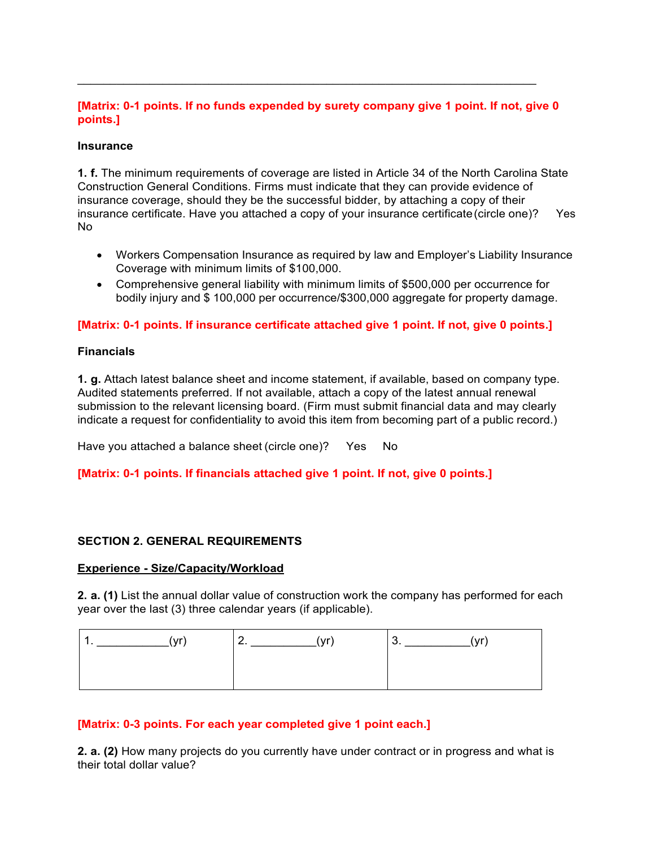# **[Matrix: 0-1 points. If no funds expended by surety company give 1 point. If not, give 0 points.]**

 $\mathcal{L}_\text{max}$  , and the contract of the contract of the contract of the contract of the contract of the contract of the contract of the contract of the contract of the contract of the contract of the contract of the contr

### **Insurance**

**1. f.** The minimum requirements of coverage are listed in Article 34 of the North Carolina State Construction General Conditions. Firms must indicate that they can provide evidence of insurance coverage, should they be the successful bidder, by attaching a copy of their insurance certificate. Have you attached a copy of your insurance certificate (circle one)? Yes No

- Workers Compensation Insurance as required by law and Employer's Liability Insurance Coverage with minimum limits of \$100,000.
- Comprehensive general liability with minimum limits of \$500,000 per occurrence for bodily injury and \$ 100,000 per occurrence/\$300,000 aggregate for property damage.

### **[Matrix: 0-1 points. If insurance certificate attached give 1 point. If not, give 0 points.]**

### **Financials**

**1. g.** Attach latest balance sheet and income statement, if available, based on company type. Audited statements preferred. If not available, attach a copy of the latest annual renewal submission to the relevant licensing board. (Firm must submit financial data and may clearly indicate a request for confidentiality to avoid this item from becoming part of a public record.)

Have you attached a balance sheet (circle one)? Yes No

# **[Matrix: 0-1 points. If financials attached give 1 point. If not, give 0 points.]**

### **SECTION 2. GENERAL REQUIREMENTS**

### **Experience - Size/Capacity/Workload**

**2. a. (1)** List the annual dollar value of construction work the company has performed for each year over the last (3) three calendar years (if applicable).

| $\mathbf{r}$ | <br>$\ddot{\phantom{a}}$<br>$\cdot$ |
|--------------|-------------------------------------|
|              |                                     |
|              |                                     |

### **[Matrix: 0-3 points. For each year completed give 1 point each.]**

**2. a. (2)** How many projects do you currently have under contract or in progress and what is their total dollar value?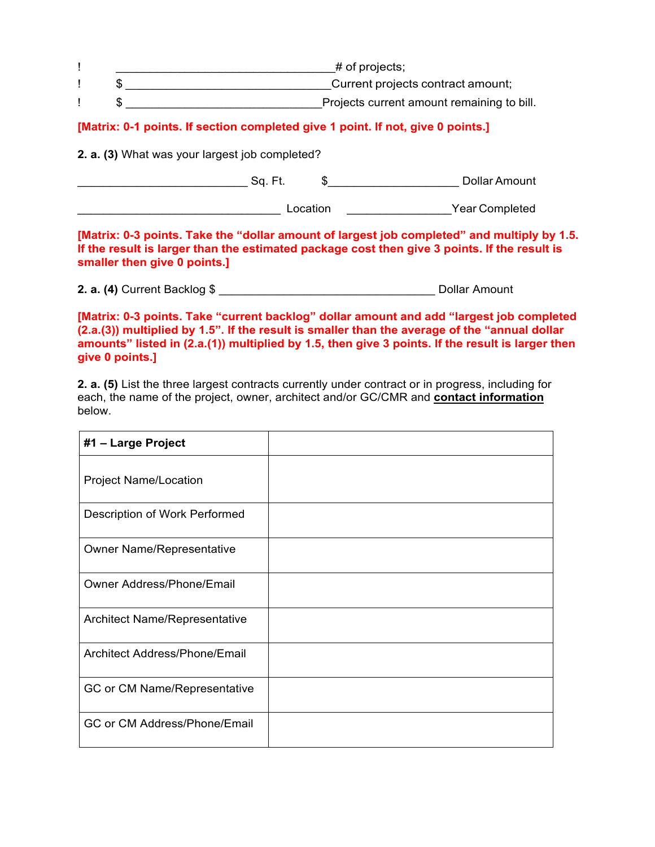|  | $\#$ of projects;                          |
|--|--------------------------------------------|
|  | Current projects contract amount;          |
|  | Projects current amount remaining to bill. |

# **[Matrix: 0-1 points. If section completed give 1 point. If not, give 0 points.]**

**2. a. (3)** What was your largest job completed?

\_\_\_\_\_\_\_\_\_\_\_\_\_\_\_\_\_\_\_\_\_\_\_\_\_\_ Sq. Ft. \$\_\_\_\_\_\_\_\_\_\_\_\_\_\_\_\_\_\_\_\_ Dollar Amount

\_\_\_\_\_\_\_\_\_\_\_\_\_\_\_\_\_\_\_\_\_\_\_\_\_\_\_\_\_\_\_ Location \_\_\_\_\_\_\_\_\_\_\_\_\_\_\_\_Year Completed

**[Matrix: 0-3 points. Take the "dollar amount of largest job completed" and multiply by 1.5. If the result is larger than the estimated package cost then give 3 points. If the result is smaller then give 0 points.]**

**2. a. (4)** Current Backlog \$ \_\_\_\_\_\_\_\_\_\_\_\_\_\_\_\_\_\_\_\_\_\_\_\_\_\_\_\_\_\_\_\_\_ Dollar Amount

**[Matrix: 0-3 points. Take "current backlog" dollar amount and add "largest job completed (2.a.(3)) multiplied by 1.5". If the result is smaller than the average of the "annual dollar amounts" listed in (2.a.(1)) multiplied by 1.5, then give 3 points. If the result is larger then give 0 points.]**

**2. a. (5)** List the three largest contracts currently under contract or in progress, including for each, the name of the project, owner, architect and/or GC/CMR and **contact information**  below.

| #1 - Large Project               |  |
|----------------------------------|--|
| <b>Project Name/Location</b>     |  |
| Description of Work Performed    |  |
| <b>Owner Name/Representative</b> |  |
| Owner Address/Phone/Email        |  |
| Architect Name/Representative    |  |
| Architect Address/Phone/Email    |  |
| GC or CM Name/Representative     |  |
| GC or CM Address/Phone/Email     |  |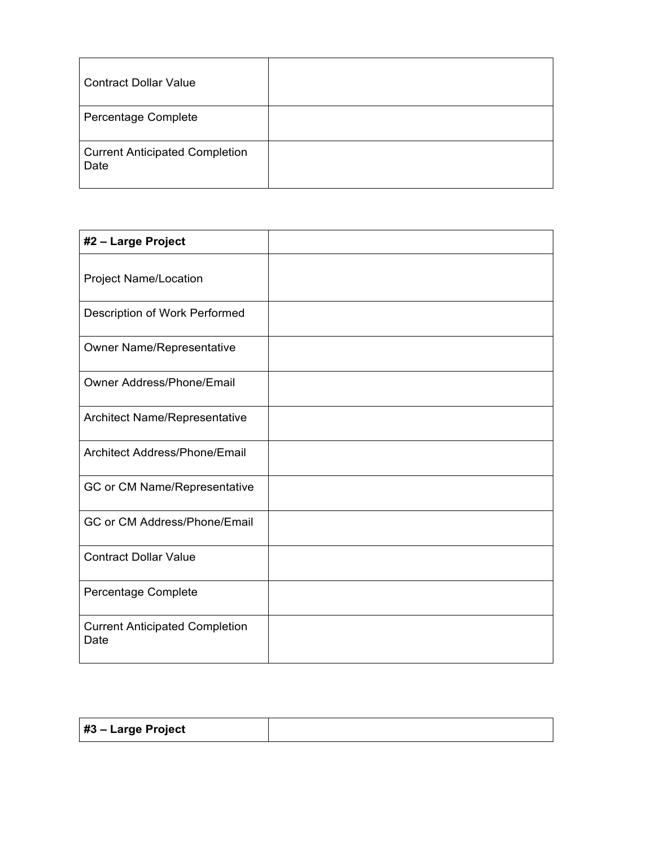| <b>Contract Dollar Value</b>                  |  |
|-----------------------------------------------|--|
| Percentage Complete                           |  |
| <b>Current Anticipated Completion</b><br>Date |  |

| #2 - Large Project                            |  |
|-----------------------------------------------|--|
| <b>Project Name/Location</b>                  |  |
| Description of Work Performed                 |  |
| <b>Owner Name/Representative</b>              |  |
| Owner Address/Phone/Email                     |  |
| Architect Name/Representative                 |  |
| Architect Address/Phone/Email                 |  |
| GC or CM Name/Representative                  |  |
| GC or CM Address/Phone/Email                  |  |
| <b>Contract Dollar Value</b>                  |  |
| Percentage Complete                           |  |
| <b>Current Anticipated Completion</b><br>Date |  |

| #3 – Large Project |  |
|--------------------|--|
|--------------------|--|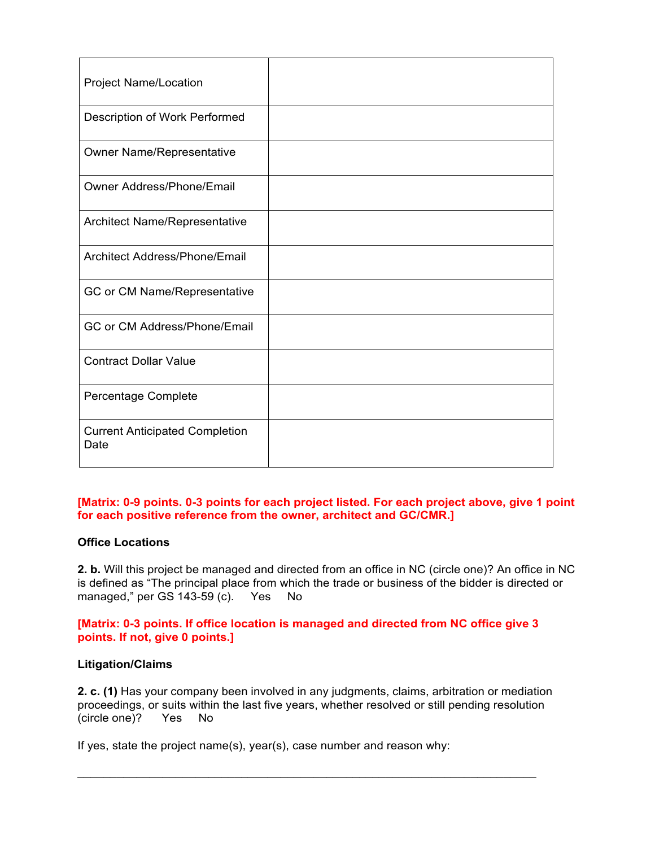| <b>Project Name/Location</b>                  |  |
|-----------------------------------------------|--|
| Description of Work Performed                 |  |
| Owner Name/Representative                     |  |
| Owner Address/Phone/Email                     |  |
| Architect Name/Representative                 |  |
| Architect Address/Phone/Email                 |  |
| GC or CM Name/Representative                  |  |
| GC or CM Address/Phone/Email                  |  |
| <b>Contract Dollar Value</b>                  |  |
| Percentage Complete                           |  |
| <b>Current Anticipated Completion</b><br>Date |  |

# **[Matrix: 0-9 points. 0-3 points for each project listed. For each project above, give 1 point for each positive reference from the owner, architect and GC/CMR.]**

### **Office Locations**

**2. b.** Will this project be managed and directed from an office in NC (circle one)? An office in NC is defined as "The principal place from which the trade or business of the bidder is directed or managed," per GS 143-59 (c). Yes No

**[Matrix: 0-3 points. If office location is managed and directed from NC office give 3 points. If not, give 0 points.]**

### **Litigation/Claims**

**2. c. (1)** Has your company been involved in any judgments, claims, arbitration or mediation proceedings, or suits within the last five years, whether resolved or still pending resolution (circle one)? Yes No

 $\mathcal{L}_\text{max}$  , and the contract of the contract of the contract of the contract of the contract of the contract of the contract of the contract of the contract of the contract of the contract of the contract of the contr

If yes, state the project name(s), year(s), case number and reason why: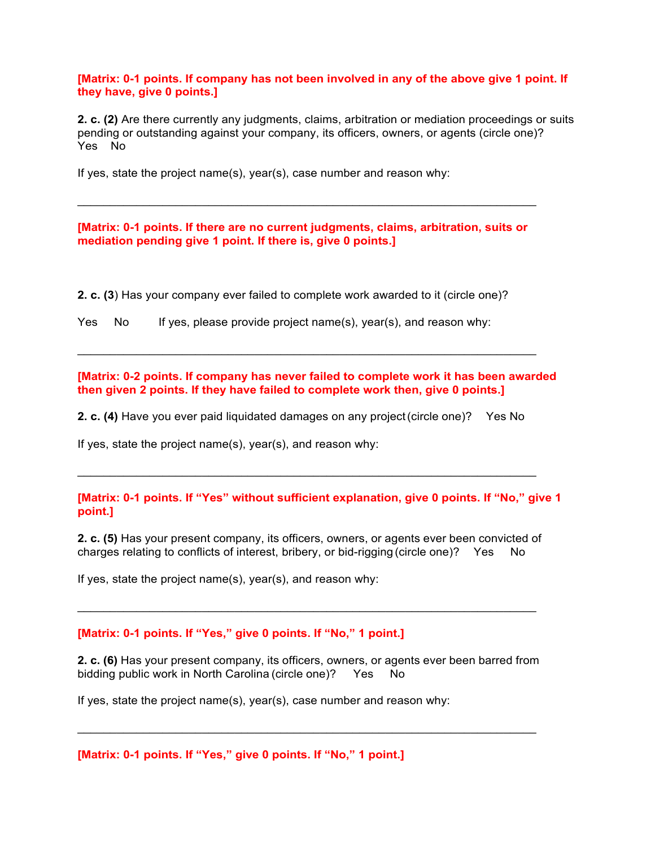**[Matrix: 0-1 points. If company has not been involved in any of the above give 1 point. If they have, give 0 points.]**

**2. c. (2)** Are there currently any judgments, claims, arbitration or mediation proceedings or suits pending or outstanding against your company, its officers, owners, or agents (circle one)? Yes No

If yes, state the project name(s), year(s), case number and reason why:

### **[Matrix: 0-1 points. If there are no current judgments, claims, arbitration, suits or mediation pending give 1 point. If there is, give 0 points.]**

**2. c. (3**) Has your company ever failed to complete work awarded to it (circle one)?

| Yes No |  |  |  |  |  |  |  |  | If yes, please provide project name(s), year(s), and reason why: |  |
|--------|--|--|--|--|--|--|--|--|------------------------------------------------------------------|--|
|--------|--|--|--|--|--|--|--|--|------------------------------------------------------------------|--|

**[Matrix: 0-2 points. If company has never failed to complete work it has been awarded then given 2 points. If they have failed to complete work then, give 0 points.]**

 $\mathcal{L}_\text{max}$  , and the contract of the contract of the contract of the contract of the contract of the contract of the contract of the contract of the contract of the contract of the contract of the contract of the contr

**2. c. (4)** Have you ever paid liquidated damages on any project (circle one)? Yes No

If yes, state the project name(s), year(s), and reason why:

#### **[Matrix: 0-1 points. If "Yes" without sufficient explanation, give 0 points. If "No," give 1 point.]**

**2. c. (5)** Has your present company, its officers, owners, or agents ever been convicted of charges relating to conflicts of interest, bribery, or bid-rigging (circle one)? Yes No

If yes, state the project name(s), year(s), and reason why:

#### **[Matrix: 0-1 points. If "Yes," give 0 points. If "No," 1 point.]**

**2. c. (6)** Has your present company, its officers, owners, or agents ever been barred from bidding public work in North Carolina (circle one)? Yes No

 $\mathcal{L}_\text{max}$  , and the contract of the contract of the contract of the contract of the contract of the contract of the contract of the contract of the contract of the contract of the contract of the contract of the contr

 $\mathcal{L}_\text{max}$  , and the contract of the contract of the contract of the contract of the contract of the contract of the contract of the contract of the contract of the contract of the contract of the contract of the contr

If yes, state the project name(s), year(s), case number and reason why:

**[Matrix: 0-1 points. If "Yes," give 0 points. If "No," 1 point.]**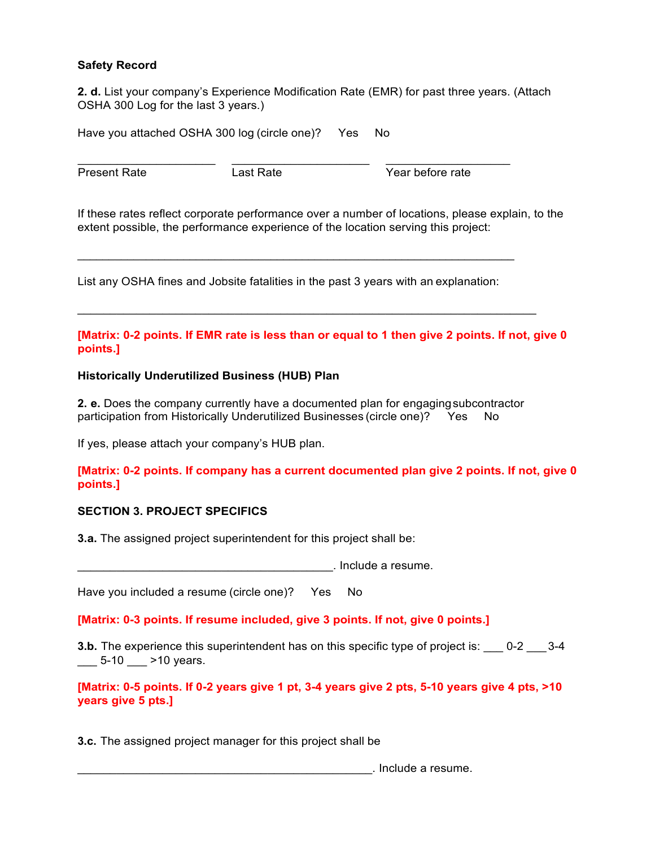# **Safety Record**

**2. d.** List your company's Experience Modification Rate (EMR) for past three years. (Attach OSHA 300 Log for the last 3 years.)

Have you attached OSHA 300 log (circle one)? Yes No

\_\_\_\_\_\_\_\_\_\_\_\_\_\_\_\_\_\_\_\_\_ \_\_\_\_\_\_\_\_\_\_\_\_\_\_\_\_\_\_\_\_\_ \_\_\_\_\_\_\_\_\_\_\_\_\_\_\_\_\_\_\_

Present Rate Last Rate Year before rate

If these rates reflect corporate performance over a number of locations, please explain, to the extent possible, the performance experience of the location serving this project:

List any OSHA fines and Jobsite fatalities in the past 3 years with an explanation:

 $\mathcal{L}_\mathcal{L} = \mathcal{L}_\mathcal{L} = \mathcal{L}_\mathcal{L} = \mathcal{L}_\mathcal{L} = \mathcal{L}_\mathcal{L} = \mathcal{L}_\mathcal{L} = \mathcal{L}_\mathcal{L} = \mathcal{L}_\mathcal{L} = \mathcal{L}_\mathcal{L} = \mathcal{L}_\mathcal{L} = \mathcal{L}_\mathcal{L} = \mathcal{L}_\mathcal{L} = \mathcal{L}_\mathcal{L} = \mathcal{L}_\mathcal{L} = \mathcal{L}_\mathcal{L} = \mathcal{L}_\mathcal{L} = \mathcal{L}_\mathcal{L}$ 

### **[Matrix: 0-2 points. If EMR rate is less than or equal to 1 then give 2 points. If not, give 0 points.]**

### **Historically Underutilized Business (HUB) Plan**

**2. e.** Does the company currently have a documented plan for engaging subcontractor participation from Historically Underutilized Businesses (circle one)? Yes No

If yes, please attach your company's HUB plan.

### **[Matrix: 0-2 points. If company has a current documented plan give 2 points. If not, give 0 points.]**

### **SECTION 3. PROJECT SPECIFICS**

**3.a.** The assigned project superintendent for this project shall be:

\_\_\_\_\_\_\_\_\_\_\_\_\_\_\_\_\_\_\_\_\_\_\_\_\_\_\_\_\_\_\_\_\_\_\_\_\_\_\_. Include a resume.

Have you included a resume (circle one)? Yes No

**[Matrix: 0-3 points. If resume included, give 3 points. If not, give 0 points.]**

**3.b.** The experience this superintendent has on this specific type of project is:  $0.2$   $0.3-4$  $\frac{1}{2}$  5-10  $\frac{1}{2}$  >10 years.

**[Matrix: 0-5 points. If 0-2 years give 1 pt, 3-4 years give 2 pts, 5-10 years give 4 pts, >10 years give 5 pts.]**

**3.c.** The assigned project manager for this project shall be

\_\_\_\_\_\_\_\_\_\_\_\_\_\_\_\_\_\_\_\_\_\_\_\_\_\_\_\_\_\_\_\_\_\_\_\_\_\_\_\_\_\_\_\_\_. Include a resume.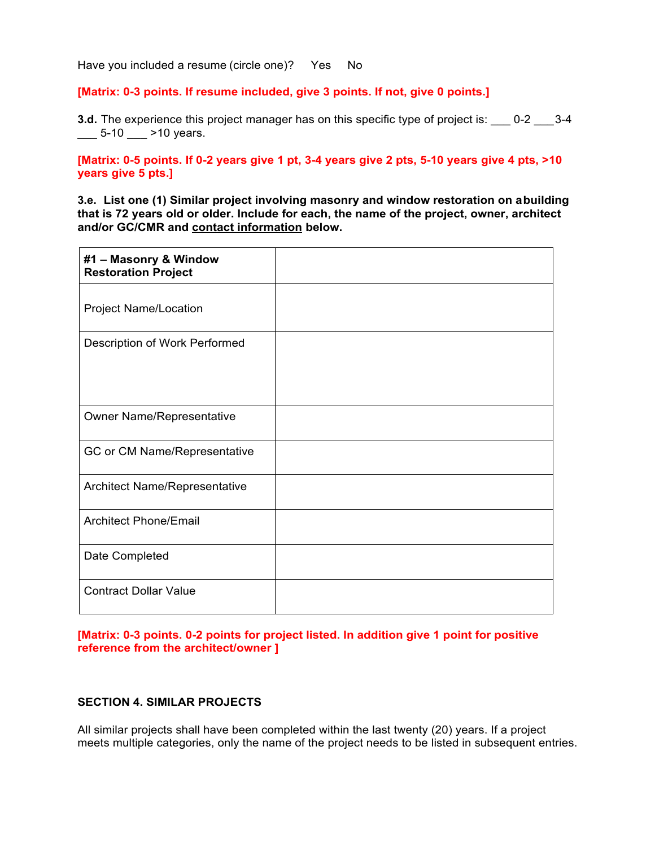#### **[Matrix: 0-3 points. If resume included, give 3 points. If not, give 0 points.]**

**3.d.** The experience this project manager has on this specific type of project is: \_\_\_ 0-2 \_\_\_ 3-4  $\frac{1}{2}$  5-10  $\frac{1}{2}$  >10 years.

## **[Matrix: 0-5 points. If 0-2 years give 1 pt, 3-4 years give 2 pts, 5-10 years give 4 pts, >10 years give 5 pts.]**

**3.e. List one (1) Similar project involving masonry and window restoration on a building that is 72 years old or older. Include for each, the name of the project, owner, architect and/or GC/CMR and contact information below.**

| #1 - Masonry & Window<br><b>Restoration Project</b> |  |
|-----------------------------------------------------|--|
| <b>Project Name/Location</b>                        |  |
| Description of Work Performed                       |  |
| <b>Owner Name/Representative</b>                    |  |
| GC or CM Name/Representative                        |  |
| Architect Name/Representative                       |  |
| <b>Architect Phone/Email</b>                        |  |
| Date Completed                                      |  |
| <b>Contract Dollar Value</b>                        |  |

### **[Matrix: 0-3 points. 0-2 points for project listed. In addition give 1 point for positive reference from the architect/owner ]**

### **SECTION 4. SIMILAR PROJECTS**

All similar projects shall have been completed within the last twenty (20) years. If a project meets multiple categories, only the name of the project needs to be listed in subsequent entries.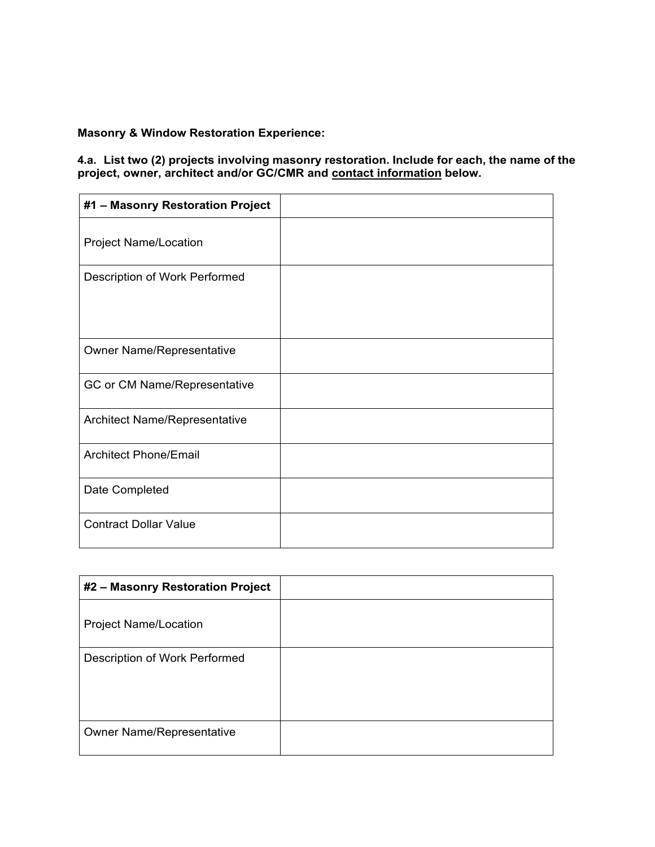# **Masonry & Window Restoration Experience:**

### **4.a. List two (2) projects involving masonry restoration. Include for each, the name of the project, owner, architect and/or GC/CMR and contact information below.**

| #1 - Masonry Restoration Project |  |
|----------------------------------|--|
| <b>Project Name/Location</b>     |  |
| Description of Work Performed    |  |
| <b>Owner Name/Representative</b> |  |
| GC or CM Name/Representative     |  |
| Architect Name/Representative    |  |
| <b>Architect Phone/Email</b>     |  |
| Date Completed                   |  |
| <b>Contract Dollar Value</b>     |  |

| #2 - Masonry Restoration Project |  |
|----------------------------------|--|
| <b>Project Name/Location</b>     |  |
| Description of Work Performed    |  |
| <b>Owner Name/Representative</b> |  |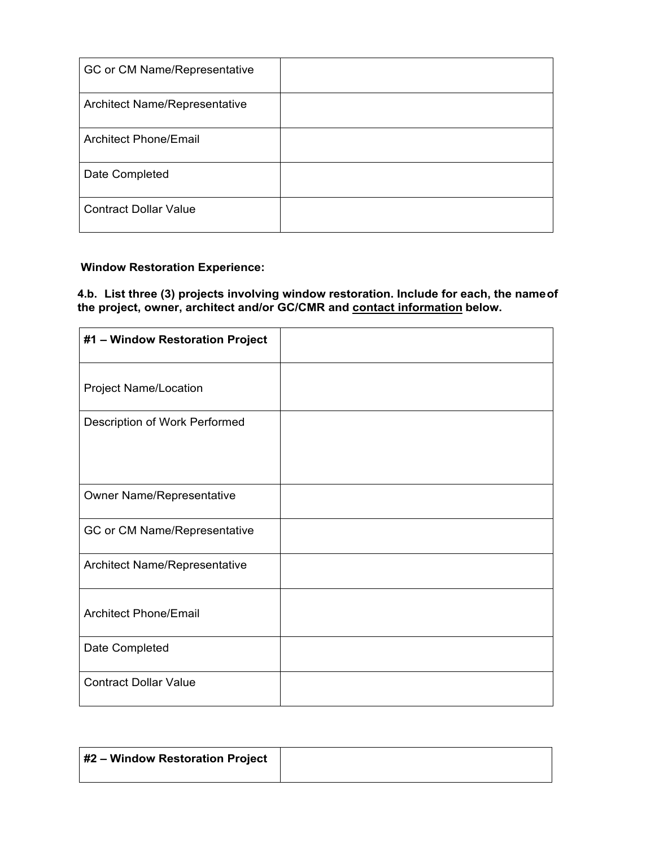| GC or CM Name/Representative         |  |
|--------------------------------------|--|
| <b>Architect Name/Representative</b> |  |
| Architect Phone/Email                |  |
| Date Completed                       |  |
| <b>Contract Dollar Value</b>         |  |

# **Window Restoration Experience:**

### **4.b. List three (3) projects involving window restoration. Include for each, the name of the project, owner, architect and/or GC/CMR and contact information below.**

| #1 - Window Restoration Project  |  |
|----------------------------------|--|
| <b>Project Name/Location</b>     |  |
| Description of Work Performed    |  |
| <b>Owner Name/Representative</b> |  |
| GC or CM Name/Representative     |  |
| Architect Name/Representative    |  |
| <b>Architect Phone/Email</b>     |  |
| Date Completed                   |  |
| <b>Contract Dollar Value</b>     |  |

| #2 - Window Restoration Project |  |
|---------------------------------|--|
|                                 |  |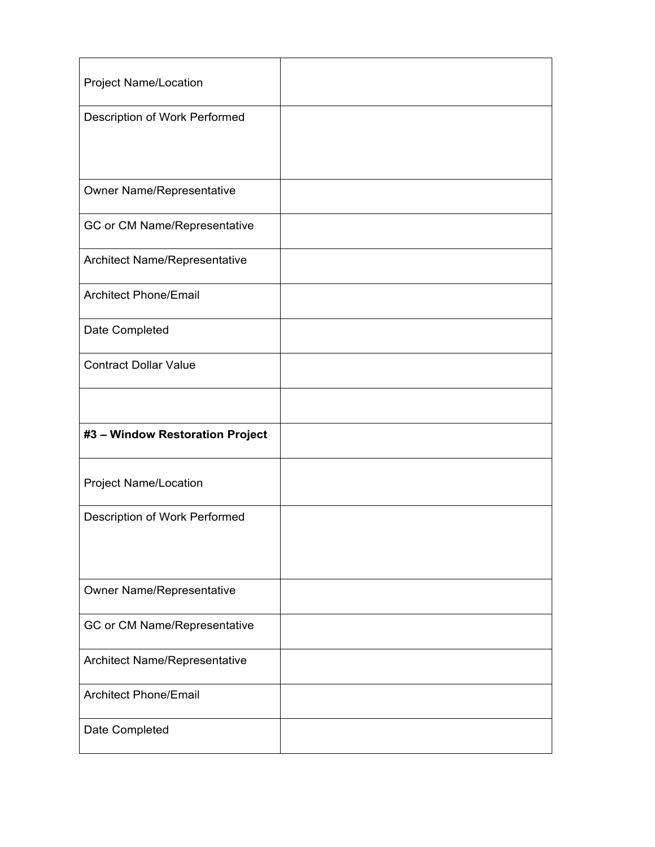| <b>Project Name/Location</b>     |  |
|----------------------------------|--|
| Description of Work Performed    |  |
|                                  |  |
|                                  |  |
| Owner Name/Representative        |  |
| GC or CM Name/Representative     |  |
| Architect Name/Representative    |  |
| <b>Architect Phone/Email</b>     |  |
| Date Completed                   |  |
| <b>Contract Dollar Value</b>     |  |
|                                  |  |
| #3 - Window Restoration Project  |  |
| <b>Project Name/Location</b>     |  |
| Description of Work Performed    |  |
|                                  |  |
|                                  |  |
| <b>Owner Name/Representative</b> |  |
| GC or CM Name/Representative     |  |
| Architect Name/Representative    |  |
| <b>Architect Phone/Email</b>     |  |
| Date Completed                   |  |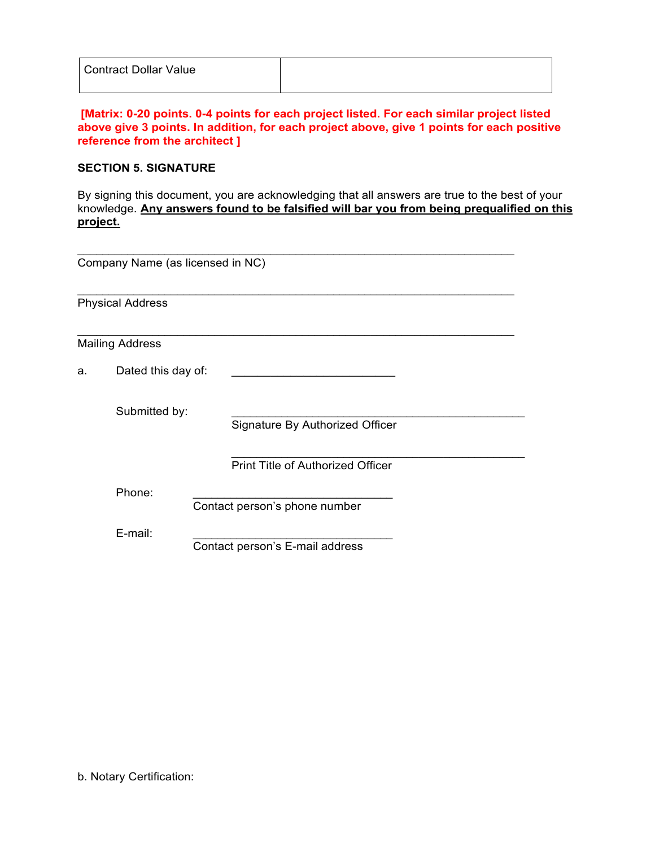| <b>Contract Dollar Value</b> |  |
|------------------------------|--|
|                              |  |

# **[Matrix: 0-20 points. 0-4 points for each project listed. For each similar project listed above give 3 points. In addition, for each project above, give 1 points for each positive reference from the architect ]**

## **SECTION 5. SIGNATURE**

By signing this document, you are acknowledging that all answers are true to the best of your knowledge. **Any answers found to be falsified will bar you from being prequalified on this project.**

|                          | Company Name (as licensed in NC) |                                          |  |  |  |  |  |
|--------------------------|----------------------------------|------------------------------------------|--|--|--|--|--|
|                          | <b>Physical Address</b>          |                                          |  |  |  |  |  |
|                          | <b>Mailing Address</b>           |                                          |  |  |  |  |  |
| Dated this day of:<br>a. |                                  |                                          |  |  |  |  |  |
|                          | Submitted by:                    | Signature By Authorized Officer          |  |  |  |  |  |
|                          |                                  | <b>Print Title of Authorized Officer</b> |  |  |  |  |  |
|                          | Phone:                           | Contact person's phone number            |  |  |  |  |  |
|                          | E-mail:                          | Contact person's E-mail address          |  |  |  |  |  |